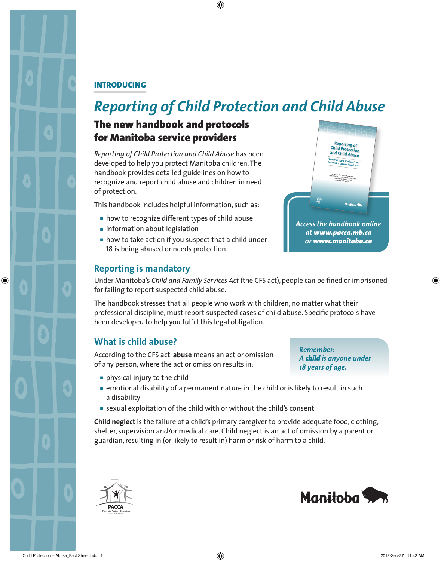#### INTRODUCING

# *Reporting of Child Protection and Child Abuse*

## The new handbook and protocols for Manitoba service providers

*Reporting of Child Protection and Child Abuse* has been developed to help you protect Manitoba children. The handbook provides detailed guidelines on how to recognize and report child abuse and children in need of protection.

This handbook includes helpful information, such as:

- how to recognize different types of child abuse
- information about legislation
- $\blacksquare$  how to take action if you suspect that a child under 18 is being abused or needs protection



#### **Reporting is mandatory**

Under Manitoba's *Child and Family Services Act* (the CFS act), people can be fined or imprisoned for failing to report suspected child abuse.

The handbook stresses that all people who work with children, no matter what their professional discipline, must report suspected cases of child abuse. Specific protocols have been developed to help you fulfill this legal obligation.

#### **What is child abuse?**

According to the CFS act, **abuse** means an act or omission of any person, where the act or omission results in:

■ physical injury to the child

*Remember: A child is anyone under 18 years of age.* 

- emotional disability of a permanent nature in the child or is likely to result in such a disability
- sexual exploitation of the child with or without the child's consent

**Child neglect** is the failure of a child's primary caregiver to provide adequate food, clothing, shelter, supervision and/or medical care. Child neglect is an act of omission by a parent or guardian, resulting in (or likely to result in) harm or risk of harm to a child.